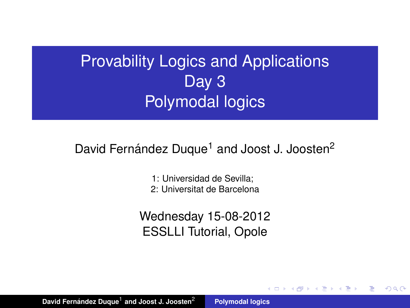# Provability Logics and Applications Day 3 Polymodal logics

## David Fernández Duque<sup>1</sup> and Joost J. Joosten<sup>2</sup>

1: Universidad de Sevilla;

2: Universitat de Barcelona

Wednesday 15-08-2012 ESSLLI Tutorial, Opole

 $\overline{AB}$   $\rightarrow$   $\overline{AB}$   $\rightarrow$ 

<span id="page-0-0"></span>重  $2Q$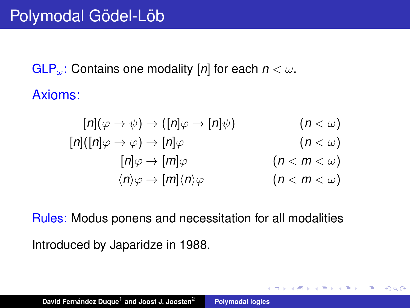$GLP_{\omega}$ : Contains one modality [*n*] for each  $n < \omega$ . Axioms:

$$
[n](\varphi \to \psi) \to ([n]\varphi \to [n]\psi) \qquad (n < \omega)
$$
  
\n
$$
[n]([n]\varphi \to \varphi) \to [n]\varphi \qquad (n < \omega)
$$
  
\n
$$
[n]\varphi \to [m]\varphi \qquad (n < m < \omega)
$$
  
\n
$$
\langle n \rangle \varphi \to [m](n)\varphi \qquad (n < m < \omega)
$$

4 御 ト 4 唐 ト 4 唐

 $299$ 

重

Rules: Modus ponens and necessitation for all modalities

Introduced by Japaridze in 1988.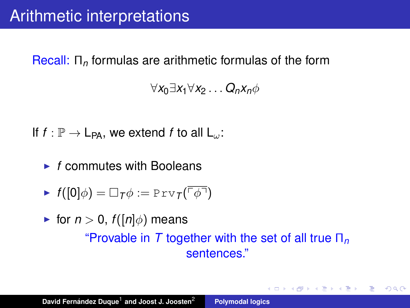### Recall: Π*<sup>n</sup>* formulas are arithmetic formulas of the form

∀*x*0∃*x*1∀*x*<sup>2</sup> . . . *Qnxn*φ

If  $f : \mathbb{P} \to \mathsf{L}_{\mathsf{PA}}$ , we extend *f* to all  $\mathsf{L}_{\omega}$ :

 $\blacktriangleright$  *f* commutes with Booleans

$$
\blacktriangleright \ f([0]\phi) = \Box_T \phi := \text{Prv}_T(\overline{\ulcorner \phi \urcorner})
$$

**F** for  $n > 0$ ,  $f(\lfloor n \rfloor \phi)$  means "Provable in *T* together with the set of all true Π*<sup>n</sup>* sentences."

イロメ イ部メ イヨメ イヨメー

ミー  $2990$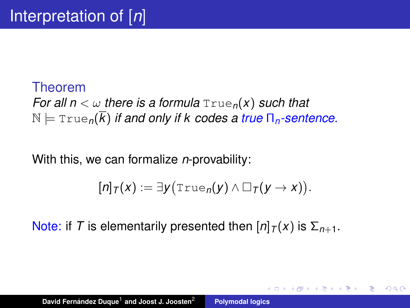## Theorem *For all n*  $\lt \omega$  *there is a formula*  $True<sub>n</sub>(x)$  *such that*  $N \models \text{True}_{n}(\overline{k})$  *if and only if k codes a true*  $\Pi_{n}$ -sentence.

With this, we can formalize *n*-provability:

$$
[n]_T(x) := \exists y \big(\text{True}_n(y) \wedge \Box_T(y \to x)\big).
$$

4 何 ト 4 百 ト

Þ  $2Q$ 

Note: if *T* is elementarily presented then  $\left[\frac{n}{\tau}(x)\right]$  is  $\Sigma_{n+1}$ .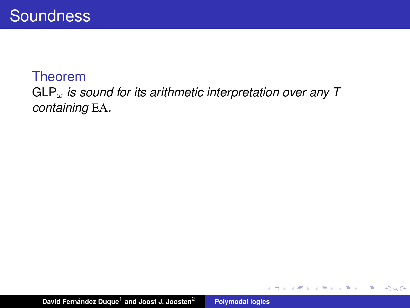### GLP<sup>ω</sup> *is sound for its arithmetic interpretation over any T containing* EA*.*

イロメ イ部メ イヨメ イヨメー

重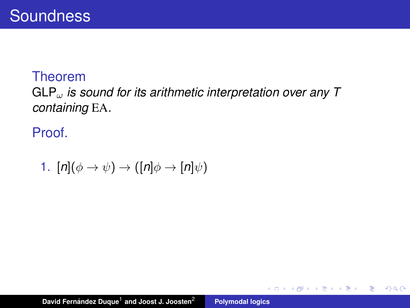## GLP<sup>ω</sup> *is sound for its arithmetic interpretation over any T containing* EA*.*

Proof.

1. 
$$
[n](\phi \to \psi) \to ([n]\phi \to [n]\psi)
$$

イロメ イ部メ イヨメ イヨメー

重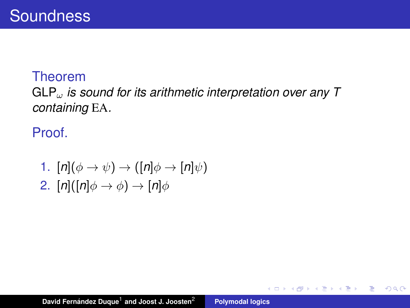## GLP<sup>ω</sup> *is sound for its arithmetic interpretation over any T containing* EA*.*

Proof.

1. 
$$
[n](\phi \rightarrow \psi) \rightarrow ([n]\phi \rightarrow [n]\psi)
$$
  
2.  $[n]([n]\phi \rightarrow \phi) \rightarrow [n]\phi$ 

イロメ イ部メ イヨメ イヨメー

重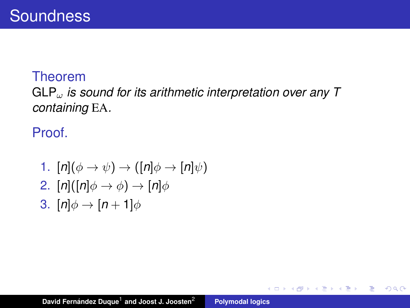## GLP<sup>ω</sup> *is sound for its arithmetic interpretation over any T containing* EA*.*

Proof.

1. 
$$
[n](\phi \rightarrow \psi) \rightarrow ([n]\phi \rightarrow [n]\psi)
$$
  
\n2.  $[n]([n]\phi \rightarrow \phi) \rightarrow [n]\phi$   
\n3.  $[n]\phi \rightarrow [n+1]\phi$ 

イロメ イ部メ イヨメ イヨメー

重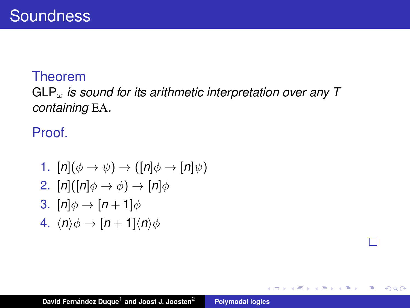## GLP<sup>ω</sup> *is sound for its arithmetic interpretation over any T containing* EA*.*

Proof.

1. 
$$
[n](\phi \rightarrow \psi) \rightarrow ([n]\phi \rightarrow [n]\psi)
$$
  
\n2.  $[n]([n]\phi \rightarrow \phi) \rightarrow [n]\phi$   
\n3.  $[n]\phi \rightarrow [n+1]\phi$   
\n4.  $\langle n \rangle \phi \rightarrow [n+1]\langle n \rangle \phi$ 

イロメ イ部メ イヨメ イヨメー

重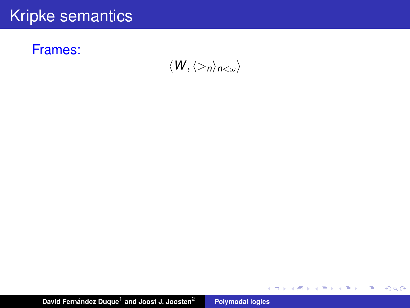### Frames:

 $\langle W, \langle >_n \rangle_{n<\omega} \rangle$ 

イロトス 御 トス 言 トス 言 トー

高。  $2QQ$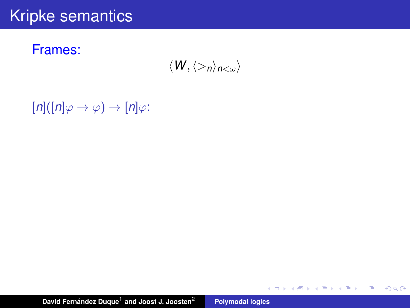Frames:

 $\langle W, \langle >_n \rangle_{n<\omega} \rangle$ 

K ロ ▶ K 個 ▶ K 로 ▶ K 로 ▶ - 로 - K 9 Q @

 $[n]([n]\varphi \rightarrow \varphi) \rightarrow [n]\varphi$ :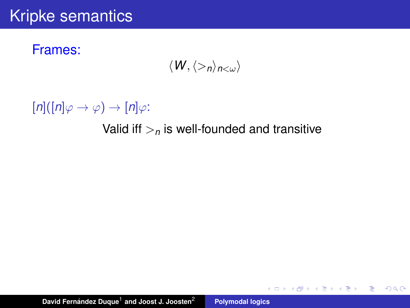Frames:

$$
\langle W,\langle>_n\rangle_{n<\omega}\rangle
$$

 $[n]([n]\varphi \rightarrow \varphi) \rightarrow [n]\varphi$ :

#### Valid iff  $>$ <sub>n</sub> is well-founded and transitive

イロメ イ部メ イヨメ イヨメー

ミー  $2990$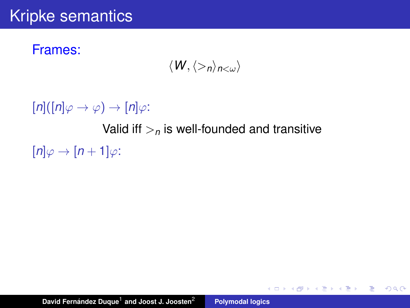### Frames:

$$
\langle W,\langle>_n\rangle_{n<\omega}\rangle
$$

 $[n]([n]\varphi \rightarrow \varphi) \rightarrow [n]\varphi$ :

Valid iff  $>$ <sub>n</sub> is well-founded and transitive

イロメ イ部メ イ君メ イ君メー

 $E = \Omega Q$ 

 $[n]\varphi \rightarrow [n+1]\varphi$ :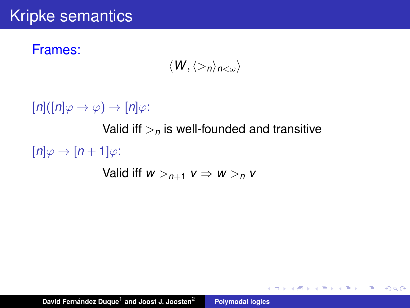### Frames:

$$
\langle W,\langle>_n\rangle_{n<\omega}\rangle
$$

 $[n]([n]\varphi \rightarrow \varphi) \rightarrow [n]\varphi$ :

Valid iff  $>$ <sub>n</sub> is well-founded and transitive

K ロ ▶ K 個 ▶ K 로 ▶ K 로 ▶ - 로 - K 9 Q @

 $[n]\varphi \rightarrow [n+1]\varphi$ :

Valid iff  $w >_{n+1} v \Rightarrow w >_n v$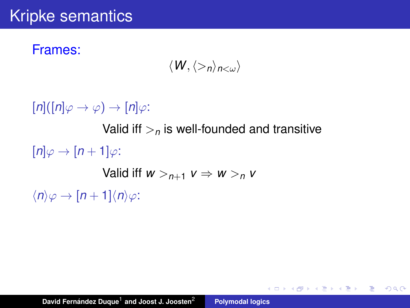### Frames:

$$
\langle W,\langle>_n\rangle_{n<\omega}\rangle
$$

K ロ ▶ K 御 ▶ K 重 ▶ K 重 ▶ 三重 → 約 Q @

 $[n]([n]\varphi \rightarrow \varphi) \rightarrow [n]\varphi$ : Valid iff  $>$ <sub>n</sub> is well-founded and transitive  $[n]\varphi \rightarrow [n+1]\varphi$ : Valid iff  $w >_{n+1} v \Rightarrow w >_n v$  $\langle n \rangle \varphi \rightarrow [n+1] \langle n \rangle \varphi$ :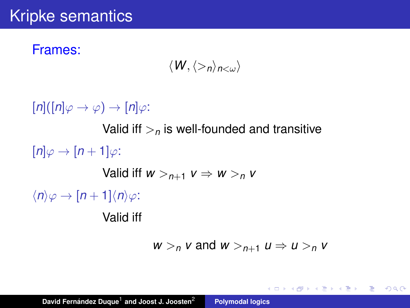### Frames:

$$
\langle W,\langle>_n\rangle_{n<\omega}\rangle
$$

 $[n]([n]\varphi \rightarrow \varphi) \rightarrow [n]\varphi$ : Valid iff  $>$ <sub>n</sub> is well-founded and transitive  $[n]\varphi \rightarrow [n+1]\varphi$ : Valid iff  $w >_{n+1} v \Rightarrow w >_0 v$  $\langle n \rangle \varphi \rightarrow [n+1] \langle n \rangle \varphi$ : Valid iff

 $w > n$  *v* and  $w >_{n+1} u \Rightarrow u >_n v$ 

K ロ ▶ K 御 ▶ K 重 ▶ K 重 ▶ 三重 → 約 Q @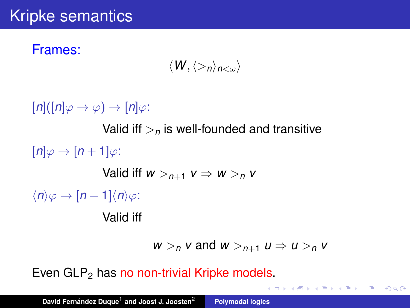### Frames:

$$
\langle W,\langle>_n\rangle_{n<\omega}\rangle
$$

 $[n]([n]\varphi \rightarrow \varphi) \rightarrow [n]\varphi$ : Valid iff  $\geq_n$  is well-founded and transitive  $[n]\varphi \rightarrow [n+1]\varphi$ : Valid iff  $w >_{n+1} v \Rightarrow w >_0 v$  $\langle n \rangle \varphi \rightarrow [n+1] \langle n \rangle \varphi$ : Valid iff

 $w > n$  *v* and  $w >_{n+1} u \Rightarrow u >_n v$ 

4 ロ > 4 団 > 4 ミ > 4 ミ > 三 ミ - 9 Q Q

Even  $GLP<sub>2</sub>$  has no non-trivial Kripke models.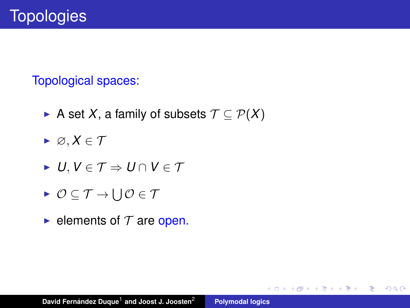### Topological spaces:

- ► A set *X*, a family of subsets  $\mathcal{T} \subseteq \mathcal{P}(X)$
- $\blacktriangleright \varnothing, X \in \mathcal{T}$
- $\blacktriangleright$  *U*, *V* ∈ *T*  $\Rightarrow$  *U* ∩ *V* ∈ *T*
- $\triangleright$   $\mathcal{O} \subseteq \mathcal{T} \rightarrow \bigcup \mathcal{O} \in \mathcal{T}$
- elements of  $T$  are open.

K ロ ⊁ K 伊 ⊁ K 君 ⊁ K 君 ⊁ …

 $E = \Omega Q$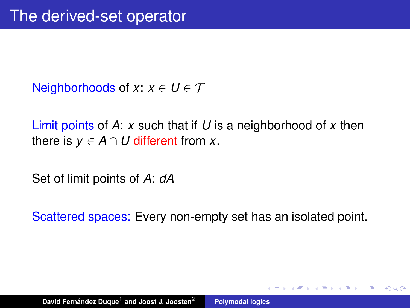Neighborhoods of *x*:  $x \in U \in \mathcal{T}$ 

Limit points of *A*: *x* such that if *U* is a neighborhood of *x* then there is  $v \in A \cap U$  different from x.

Set of limit points of *A*: *dA*

Scattered spaces: Every non-empty set has an isolated point.

 $AB + AB$ 

 $QQQ$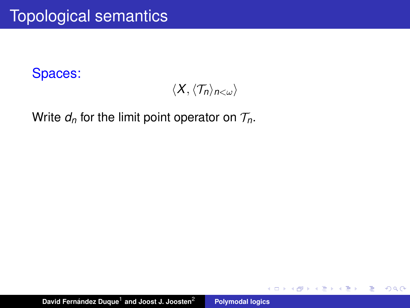$\langle X, \langle \mathcal{T}_n \rangle_{n<\omega} \rangle$ 

(ロトス個) (運) (運)

重

 $2Q$ 

Write  $d_n$  for the limit point operator on  $\mathcal{T}_n$ .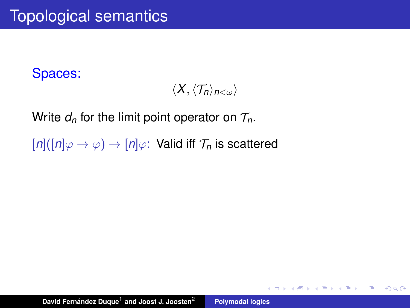$\langle X, \langle \mathcal{T}_n \rangle_{n < \omega} \rangle$ 

イロメ イ部メ イヨメ イヨメー

 $\equiv$  990

Write  $d_n$  for the limit point operator on  $\mathcal{T}_n$ .

 $[n]([n]\varphi \to \varphi) \to [n]\varphi$ : Valid iff  $\mathcal{T}_n$  is scattered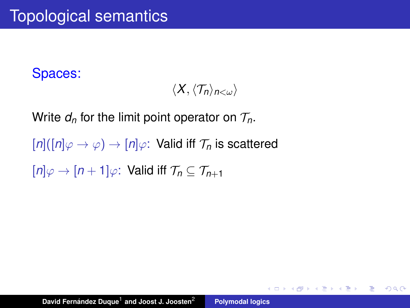$\langle X, \langle \mathcal{T}_n \rangle_{n < \omega} \rangle$ 

K ロ ⊁ K 伊 ⊁ K 君 ⊁ K 君 ⊁ …

 $E = \Omega Q$ 

Write  $d_n$  for the limit point operator on  $\mathcal{T}_n$ .

 $[n]([n]\varphi \to \varphi) \to [n]\varphi$ : Valid iff  $\mathcal{T}_n$  is scattered

 $[n]\varphi\to[n+1]\varphi$ : Valid iff  $\mathcal{T}_n\subset\mathcal{T}_{n+1}$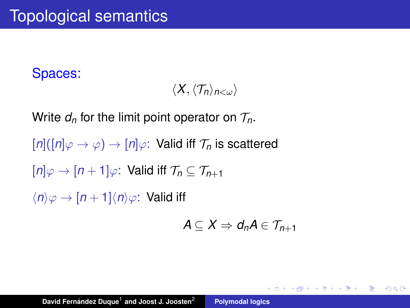$$
\langle X, \langle \mathcal{T}_n \rangle_{n<\omega} \rangle
$$

Write  $d_n$  for the limit point operator on  $\mathcal{T}_n$ .

 $[n]([n]\varphi \to \varphi) \to [n]\varphi$ : Valid iff  $\mathcal{T}_n$  is scattered

 $[n]\varphi\to[n+1]\varphi$ : Valid iff  $\mathcal{T}_n\subset\mathcal{T}_{n+1}$ 

 $\langle n \rangle \varphi \rightarrow [n+1] \langle n \rangle \varphi$ : Valid iff

$$
A\subseteq X\Rightarrow d_nA\in\mathcal{T}_{n+1}
$$

<span id="page-22-0"></span>K ロ ▶ K 御 ▶ K 重 ▶ K 重 ▶ 三重 → 約 Q @